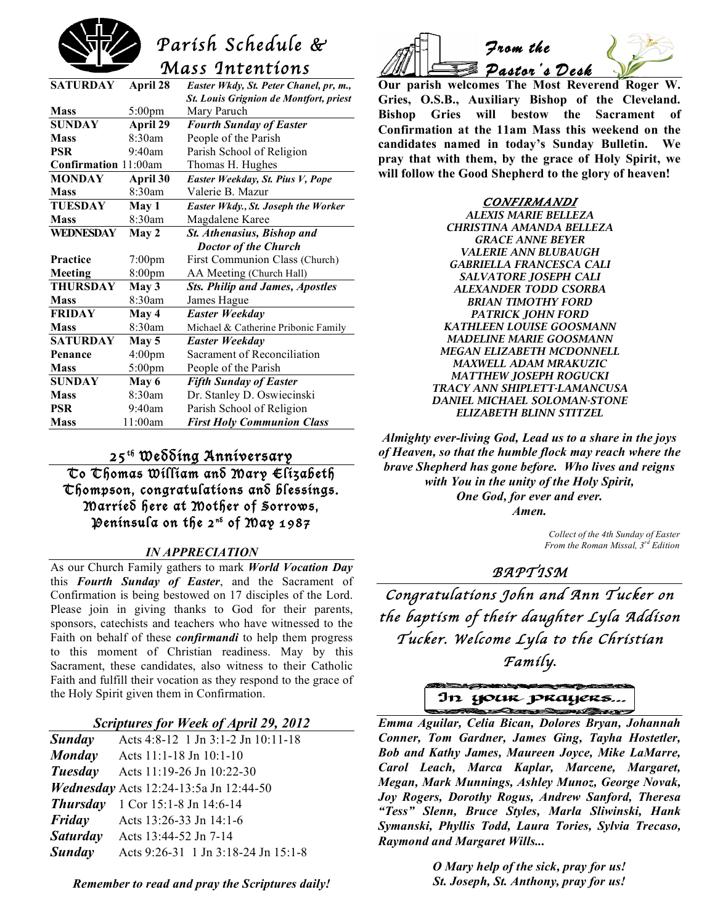# *Parish Schedule & Mass Intentions*

| <b>SATURDAY</b>      | April 28           | Easter Wkdy, St. Peter Chanel, pr, m.,        |
|----------------------|--------------------|-----------------------------------------------|
|                      |                    | <b>St. Louis Grignion de Montfort, priest</b> |
| <b>Mass</b>          | $5:00$ pm          | Mary Paruch                                   |
| <b>SUNDAY</b>        | April 29           | <b>Fourth Sunday of Easter</b>                |
| <b>Mass</b>          | 8:30am             | People of the Parish                          |
| <b>PSR</b>           | 9:40am             | Parish School of Religion                     |
| Confirmation 11:00am |                    | Thomas H. Hughes                              |
| <b>MONDAY</b>        | April 30           | Easter Weekday, St. Pius V, Pope              |
| <b>Mass</b>          | 8:30am             | Valerie B. Mazur                              |
| <b>TUESDAY</b>       | May 1              | Easter Wkdy., St. Joseph the Worker           |
| <b>Mass</b>          | 8:30am             | Magdalene Karee                               |
| <b>WEDNESDAY</b>     | May 2              | St. Athenasius, Bishop and                    |
|                      |                    | <b>Doctor of the Church</b>                   |
| <b>Practice</b>      | $7:00$ pm          | First Communion Class (Church)                |
| Meeting              | 8:00 <sub>pm</sub> | AA Meeting (Church Hall)                      |
| <b>THURSDAY</b>      | May 3              | <b>Sts. Philip and James, Apostles</b>        |
| <b>Mass</b>          | 8:30am             | James Hague                                   |
| <b>FRIDAY</b>        | May 4              | <b>Easter Weekday</b>                         |
| <b>Mass</b>          | 8:30am             | Michael & Catherine Pribonic Family           |
| <b>SATURDAY</b>      | May 5              | Easter Weekday                                |
| Penance              | 4:00 <sub>pm</sub> | Sacrament of Reconciliation                   |
| <b>Mass</b>          | $5:00 \text{pm}$   | People of the Parish                          |
| <b>SUNDAY</b>        | May 6              | <b>Fifth Sunday of Easter</b>                 |
| <b>Mass</b>          | 8:30am             | Dr. Stanley D. Oswiecinski                    |
| <b>PSR</b>           | 9:40am             | Parish School of Religion                     |
| <b>Mass</b>          | 11:00am            | <b>First Holy Communion Class</b>             |

### 25th Wedding Anniversary

To Thomas William and Mary Elizabeth Chompson, congratulations and blessings. Married here at Mother of Sorrows, Península on the 2<sup>ns</sup> of May 1987

#### *IN APPRECIATION*

As our Church Family gathers to mark *World Vocation Day* this *Fourth Sunday of Easter*, and the Sacrament of Confirmation is being bestowed on 17 disciples of the Lord. Please join in giving thanks to God for their parents, sponsors, catechists and teachers who have witnessed to the Faith on behalf of these *confirmandi* to help them progress to this moment of Christian readiness. May by this Sacrament, these candidates, also witness to their Catholic Faith and fulfill their vocation as they respond to the grace of the Holy Spirit given them in Confirmation.

#### *Scriptures for Week of April 29, 2012*

| Sunday          | Acts 4:8-12 1 Jn 3:1-2 Jn 10:11-18            |
|-----------------|-----------------------------------------------|
| <b>Monday</b>   | Acts 11:1-18 Jn 10:1-10                       |
| Tuesday         | Acts 11:19-26 Jn 10:22-30                     |
|                 | <i>Wednesday</i> Acts 12:24-13:5a Jn 12:44-50 |
| <b>Thursday</b> | 1 Cor 15:1-8 Jn 14:6-14                       |
| Friday          | Acts 13:26-33 Jn 14:1-6                       |
| <b>Saturday</b> | Acts 13:44-52 Jn 7-14                         |
| <b>Sunday</b>   | Acts 9:26-31 1 Jn 3:18-24 Jn 15:1-8           |

*Remember to read and pray the Scriptures daily!*



**Our parish welcomes The Most Reverend Roger W. Gries, O.S.B., Auxiliary Bishop of the Cleveland. Bishop Gries will bestow the Sacrament of Confirmation at the 11am Mass this weekend on the candidates named in today's Sunday Bulletin. We pray that with them, by the grace of Holy Spirit, we will follow the Good Shepherd to the glory of heaven!** 

> **CONFIRMANDI**  *ALEXIS MARIE BELLEZA CHRISTINA AMANDA BELLEZA GRACE ANNE BEYER VALERIE ANN BLUBAUGH GABRIELLA FRANCESCA CALI SALVATORE JOSEPH CALI ALEXANDER TODD CSORBA BRIAN TIMOTHY FORD PATRICK JOHN FORD KATHLEEN LOUISE GOOSMANN MADELINE MARIE GOOSMANN MEGAN ELIZABETH MCDONNELL MAXWELL ADAM MRAKUZIC MATTHEW JOSEPH ROGUCKI TRACY ANN SHIPLETT-LAMANCUSA DANIEL MICHAEL SOLOMAN-STONE ELIZABETH BLINN STITZEL*

*Almighty ever-living God, Lead us to a share in the joys of Heaven, so that the humble flock may reach where the brave Shepherd has gone before. Who lives and reigns with You in the unity of the Holy Spirit, One God, for ever and ever. Amen.*

> *Collect of the 4th Sunday of Easter From the Roman Missal, 3rd Edition*

### *BAPTISM*

*Congratulations John and Ann Tucker on the baptism of their daughter Lyla Addison Tucker. Welcome Lyla to the Christian Family***.**

In your prayers...

 *Emma Aguilar, Celia Bican, Dolores Bryan, Johannah Conner, Tom Gardner, James Ging, Tayha Hostetler, Bob and Kathy James, Maureen Joyce, Mike LaMarre, Carol Leach, Marca Kaplar, Marcene, Margaret, Megan, Mark Munnings, Ashley Munoz, George Novak, Joy Rogers, Dorothy Rogus, Andrew Sanford, Theresa "Tess" Slenn, Bruce Styles, Marla Sliwinski, Hank Symanski, Phyllis Todd, Laura Tories, Sylvia Trecaso, Raymond and Margaret Wills...*

> *O Mary help of the sick, pray for us! St. Joseph, St. Anthony, pray for us!*